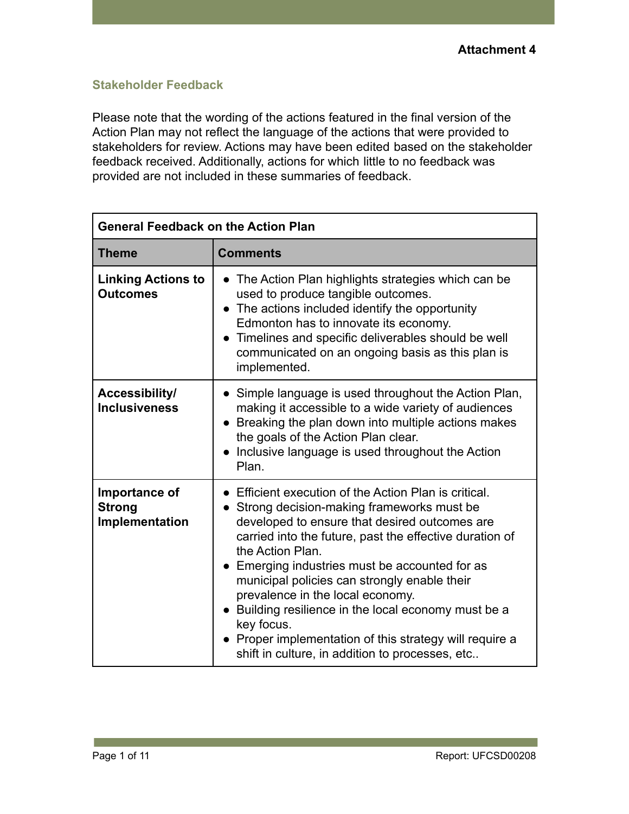### **Stakeholder Feedback**

Please note that the wording of the actions featured in the final version of the Action Plan may not reflect the language of the actions that were provided to stakeholders for review. Actions may have been edited based on the stakeholder feedback received. Additionally, actions for which little to no feedback was provided are not included in these summaries of feedback.

| <b>General Feedback on the Action Plan</b>       |                                                                                                                                                                                                                                                                                                                                                                                                                                                                                                                                                                                    |
|--------------------------------------------------|------------------------------------------------------------------------------------------------------------------------------------------------------------------------------------------------------------------------------------------------------------------------------------------------------------------------------------------------------------------------------------------------------------------------------------------------------------------------------------------------------------------------------------------------------------------------------------|
| <b>Theme</b>                                     | <b>Comments</b>                                                                                                                                                                                                                                                                                                                                                                                                                                                                                                                                                                    |
| <b>Linking Actions to</b><br><b>Outcomes</b>     | The Action Plan highlights strategies which can be<br>used to produce tangible outcomes.<br>• The actions included identify the opportunity<br>Edmonton has to innovate its economy.<br>• Timelines and specific deliverables should be well<br>communicated on an ongoing basis as this plan is<br>implemented.                                                                                                                                                                                                                                                                   |
| Accessibility/<br><b>Inclusiveness</b>           | Simple language is used throughout the Action Plan,<br>making it accessible to a wide variety of audiences<br>• Breaking the plan down into multiple actions makes<br>the goals of the Action Plan clear.<br>Inclusive language is used throughout the Action<br>$\bullet$<br>Plan.                                                                                                                                                                                                                                                                                                |
| Importance of<br><b>Strong</b><br>Implementation | • Efficient execution of the Action Plan is critical.<br>Strong decision-making frameworks must be<br>$\bullet$<br>developed to ensure that desired outcomes are<br>carried into the future, past the effective duration of<br>the Action Plan.<br>Emerging industries must be accounted for as<br>$\bullet$<br>municipal policies can strongly enable their<br>prevalence in the local economy.<br>• Building resilience in the local economy must be a<br>key focus.<br>Proper implementation of this strategy will require a<br>shift in culture, in addition to processes, etc |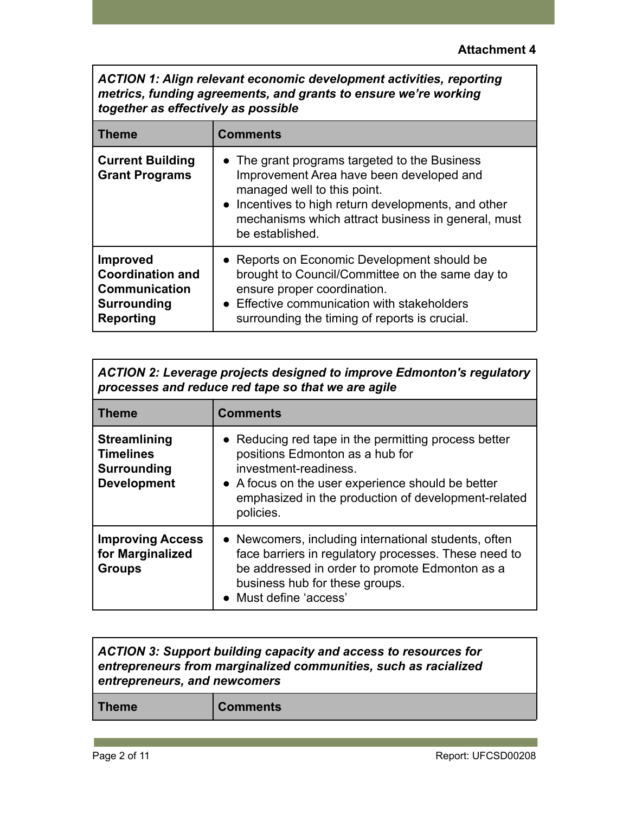*ACTION 1: Align relevant economic development activities, reporting metrics, funding agreements, and grants to ensure we're working together as effectively as possible*

| <b>Theme</b>                                                                                                 | <b>Comments</b>                                                                                                                                                                                                                                          |
|--------------------------------------------------------------------------------------------------------------|----------------------------------------------------------------------------------------------------------------------------------------------------------------------------------------------------------------------------------------------------------|
| <b>Current Building</b><br><b>Grant Programs</b>                                                             | • The grant programs targeted to the Business<br>Improvement Area have been developed and<br>managed well to this point.<br>• Incentives to high return developments, and other<br>mechanisms which attract business in general, must<br>be established. |
| <b>Improved</b><br><b>Coordination and</b><br><b>Communication</b><br><b>Surrounding</b><br><b>Reporting</b> | • Reports on Economic Development should be<br>brought to Council/Committee on the same day to<br>ensure proper coordination.<br>• Effective communication with stakeholders<br>surrounding the timing of reports is crucial.                            |

| <b>ACTION 2: Leverage projects designed to improve Edmonton's regulatory</b><br>processes and reduce red tape so that we are agile |                                                                                                                                                                                                                                           |
|------------------------------------------------------------------------------------------------------------------------------------|-------------------------------------------------------------------------------------------------------------------------------------------------------------------------------------------------------------------------------------------|
| <b>Theme</b>                                                                                                                       | <b>Comments</b>                                                                                                                                                                                                                           |
| <b>Streamlining</b><br><b>Timelines</b><br><b>Surrounding</b><br><b>Development</b>                                                | • Reducing red tape in the permitting process better<br>positions Edmonton as a hub for<br>investment-readiness.<br>• A focus on the user experience should be better<br>emphasized in the production of development-related<br>policies. |
| <b>Improving Access</b><br>for Marginalized<br><b>Groups</b>                                                                       | • Newcomers, including international students, often<br>face barriers in regulatory processes. These need to<br>be addressed in order to promote Edmonton as a<br>business hub for these groups.<br>• Must define 'access'                |

|              | <b>ACTION 3: Support building capacity and access to resources for</b><br>entrepreneurs from marginalized communities, such as racialized<br>entrepreneurs, and newcomers |  |
|--------------|---------------------------------------------------------------------------------------------------------------------------------------------------------------------------|--|
| <b>Theme</b> | <b>Comments</b>                                                                                                                                                           |  |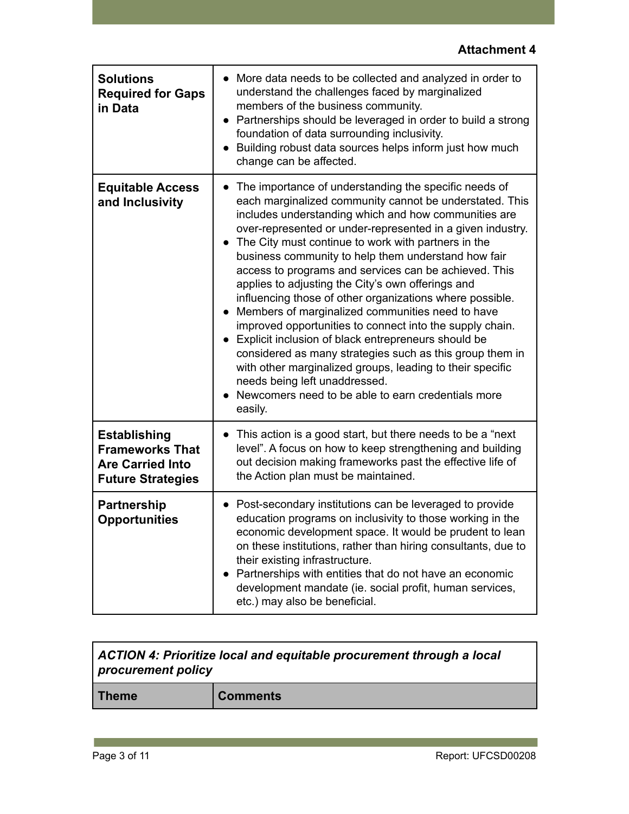| <b>Solutions</b><br><b>Required for Gaps</b><br>in Data                                              | More data needs to be collected and analyzed in order to<br>understand the challenges faced by marginalized<br>members of the business community.<br>Partnerships should be leveraged in order to build a strong<br>foundation of data surrounding inclusivity.<br>Building robust data sources helps inform just how much<br>change can be affected.                                                                                                                                                                                                                                                                                                                                                                                                                                                                                                                                                                            |
|------------------------------------------------------------------------------------------------------|----------------------------------------------------------------------------------------------------------------------------------------------------------------------------------------------------------------------------------------------------------------------------------------------------------------------------------------------------------------------------------------------------------------------------------------------------------------------------------------------------------------------------------------------------------------------------------------------------------------------------------------------------------------------------------------------------------------------------------------------------------------------------------------------------------------------------------------------------------------------------------------------------------------------------------|
| <b>Equitable Access</b><br>and Inclusivity                                                           | The importance of understanding the specific needs of<br>each marginalized community cannot be understated. This<br>includes understanding which and how communities are<br>over-represented or under-represented in a given industry.<br>The City must continue to work with partners in the<br>business community to help them understand how fair<br>access to programs and services can be achieved. This<br>applies to adjusting the City's own offerings and<br>influencing those of other organizations where possible.<br>Members of marginalized communities need to have<br>improved opportunities to connect into the supply chain.<br>Explicit inclusion of black entrepreneurs should be<br>considered as many strategies such as this group them in<br>with other marginalized groups, leading to their specific<br>needs being left unaddressed.<br>Newcomers need to be able to earn credentials more<br>easily. |
| <b>Establishing</b><br><b>Frameworks That</b><br><b>Are Carried Into</b><br><b>Future Strategies</b> | This action is a good start, but there needs to be a "next"<br>level". A focus on how to keep strengthening and building<br>out decision making frameworks past the effective life of<br>the Action plan must be maintained.                                                                                                                                                                                                                                                                                                                                                                                                                                                                                                                                                                                                                                                                                                     |
| <b>Partnership</b><br><b>Opportunities</b>                                                           | Post-secondary institutions can be leveraged to provide<br>education programs on inclusivity to those working in the<br>economic development space. It would be prudent to lean<br>on these institutions, rather than hiring consultants, due to<br>their existing infrastructure.<br>Partnerships with entities that do not have an economic<br>development mandate (ie. social profit, human services,<br>etc.) may also be beneficial.                                                                                                                                                                                                                                                                                                                                                                                                                                                                                        |

| ACTION 4: Prioritize local and equitable procurement through a local<br>procurement policy |                 |
|--------------------------------------------------------------------------------------------|-----------------|
| <b>Theme</b>                                                                               | <b>Comments</b> |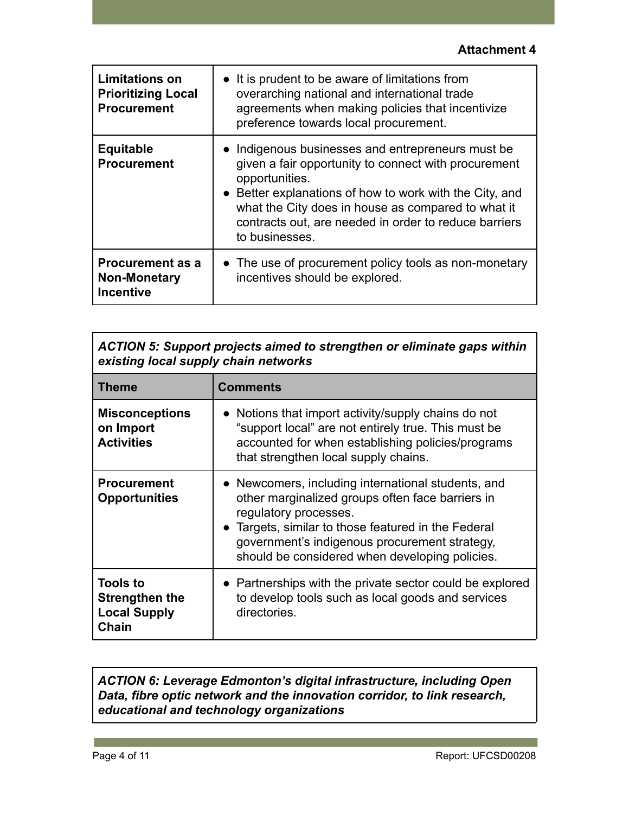| <b>Limitations on</b><br><b>Prioritizing Local</b><br><b>Procurement</b> | • It is prudent to be aware of limitations from<br>overarching national and international trade<br>agreements when making policies that incentivize<br>preference towards local procurement.                                                                                                                            |
|--------------------------------------------------------------------------|-------------------------------------------------------------------------------------------------------------------------------------------------------------------------------------------------------------------------------------------------------------------------------------------------------------------------|
| <b>Equitable</b><br><b>Procurement</b>                                   | • Indigenous businesses and entrepreneurs must be<br>given a fair opportunity to connect with procurement<br>opportunities.<br>• Better explanations of how to work with the City, and<br>what the City does in house as compared to what it<br>contracts out, are needed in order to reduce barriers<br>to businesses. |
| <b>Procurement as a</b><br><b>Non-Monetary</b><br><b>Incentive</b>       | • The use of procurement policy tools as non-monetary<br>incentives should be explored.                                                                                                                                                                                                                                 |

| <b>ACTION 5: Support projects aimed to strengthen or eliminate gaps within</b><br>existing local supply chain networks |                                                                                                                                                                                                                                                                                           |
|------------------------------------------------------------------------------------------------------------------------|-------------------------------------------------------------------------------------------------------------------------------------------------------------------------------------------------------------------------------------------------------------------------------------------|
| Theme                                                                                                                  | <b>Comments</b>                                                                                                                                                                                                                                                                           |
| <b>Misconceptions</b><br>on Import<br><b>Activities</b>                                                                | Notions that import activity/supply chains do not<br>"support local" are not entirely true. This must be<br>accounted for when establishing policies/programs<br>that strengthen local supply chains.                                                                                     |
| <b>Procurement</b><br><b>Opportunities</b>                                                                             | • Newcomers, including international students, and<br>other marginalized groups often face barriers in<br>regulatory processes.<br>• Targets, similar to those featured in the Federal<br>government's indigenous procurement strategy,<br>should be considered when developing policies. |
| <b>Tools to</b><br><b>Strengthen the</b><br><b>Local Supply</b><br>Chain                                               | • Partnerships with the private sector could be explored<br>to develop tools such as local goods and services<br>directories.                                                                                                                                                             |

## *ACTION 6: Leverage Edmonton's digital infrastructure, including Open Data, fibre optic network and the innovation corridor, to link research, educational and technology organizations*

Г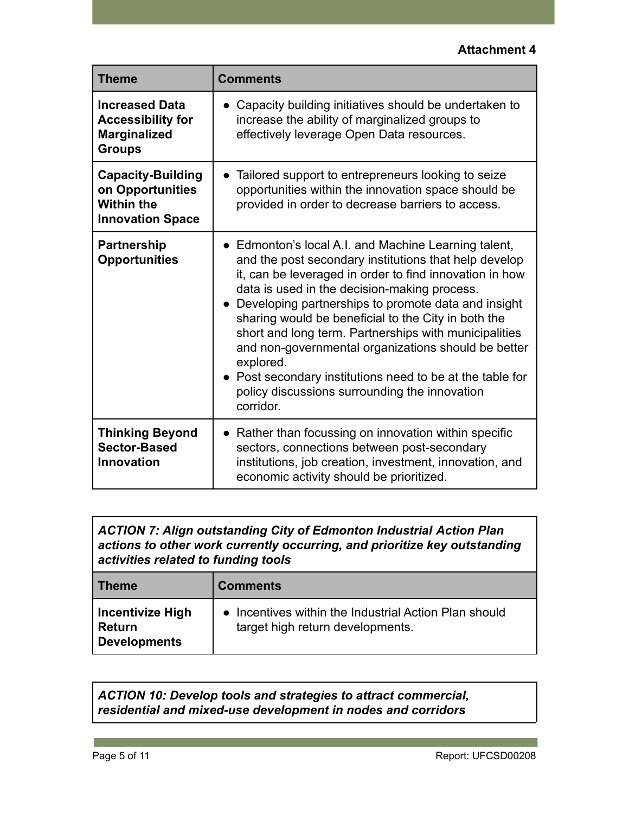| <b>Theme</b>                                                                                 | <b>Comments</b>                                                                                                                                                                                                                                                                                                                                                                                                                                                                                                                                                                                  |
|----------------------------------------------------------------------------------------------|--------------------------------------------------------------------------------------------------------------------------------------------------------------------------------------------------------------------------------------------------------------------------------------------------------------------------------------------------------------------------------------------------------------------------------------------------------------------------------------------------------------------------------------------------------------------------------------------------|
| <b>Increased Data</b><br><b>Accessibility for</b><br><b>Marginalized</b><br><b>Groups</b>    | Capacity building initiatives should be undertaken to<br>$\bullet$<br>increase the ability of marginalized groups to<br>effectively leverage Open Data resources.                                                                                                                                                                                                                                                                                                                                                                                                                                |
| <b>Capacity-Building</b><br>on Opportunities<br><b>Within the</b><br><b>Innovation Space</b> | • Tailored support to entrepreneurs looking to seize<br>opportunities within the innovation space should be<br>provided in order to decrease barriers to access.                                                                                                                                                                                                                                                                                                                                                                                                                                 |
| <b>Partnership</b><br><b>Opportunities</b>                                                   | • Edmonton's local A.I. and Machine Learning talent,<br>and the post secondary institutions that help develop<br>it, can be leveraged in order to find innovation in how<br>data is used in the decision-making process.<br>• Developing partnerships to promote data and insight<br>sharing would be beneficial to the City in both the<br>short and long term. Partnerships with municipalities<br>and non-governmental organizations should be better<br>explored.<br>• Post secondary institutions need to be at the table for<br>policy discussions surrounding the innovation<br>corridor. |
| <b>Thinking Beyond</b><br><b>Sector-Based</b><br><b>Innovation</b>                           | • Rather than focussing on innovation within specific<br>sectors, connections between post-secondary<br>institutions, job creation, investment, innovation, and<br>economic activity should be prioritized.                                                                                                                                                                                                                                                                                                                                                                                      |

*ACTION 7: Align outstanding City of Edmonton Industrial Action Plan actions to other work currently occurring, and prioritize key outstanding activities related to funding tools*

| <b>Theme</b>                                 | <b>Comments</b>                                                                           |
|----------------------------------------------|-------------------------------------------------------------------------------------------|
| Incentivize High<br>  Return<br>Developments | • Incentives within the Industrial Action Plan should<br>target high return developments. |

*ACTION 10: Develop tools and strategies to attract commercial, residential and mixed-use development in nodes and corridors*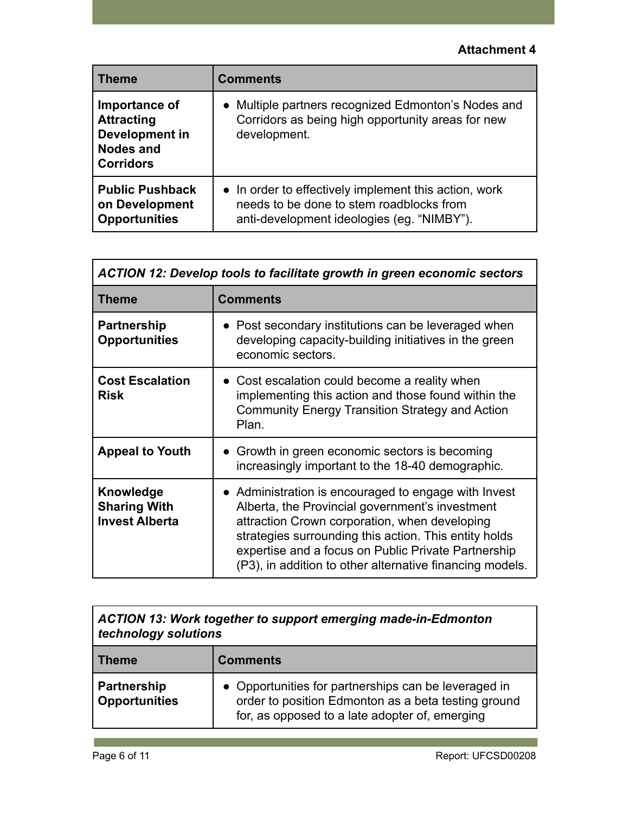| <b>Theme</b>                                                                                 | <b>Comments</b>                                                                                                                                 |
|----------------------------------------------------------------------------------------------|-------------------------------------------------------------------------------------------------------------------------------------------------|
| Importance of<br><b>Attracting</b><br>Development in<br><b>Nodes and</b><br><b>Corridors</b> | Multiple partners recognized Edmonton's Nodes and<br>$\bullet$<br>Corridors as being high opportunity areas for new<br>development.             |
| <b>Public Pushback</b><br>on Development<br><b>Opportunities</b>                             | • In order to effectively implement this action, work<br>needs to be done to stem roadblocks from<br>anti-development ideologies (eg. "NIMBY"). |

| <b>ACTION 12: Develop tools to facilitate growth in green economic sectors</b> |                                                                                                                                                                                                                                                                                                                                      |
|--------------------------------------------------------------------------------|--------------------------------------------------------------------------------------------------------------------------------------------------------------------------------------------------------------------------------------------------------------------------------------------------------------------------------------|
| <b>Theme</b>                                                                   | <b>Comments</b>                                                                                                                                                                                                                                                                                                                      |
| <b>Partnership</b><br><b>Opportunities</b>                                     | • Post secondary institutions can be leveraged when<br>developing capacity-building initiatives in the green<br>economic sectors.                                                                                                                                                                                                    |
| <b>Cost Escalation</b><br><b>Risk</b>                                          | • Cost escalation could become a reality when<br>implementing this action and those found within the<br>Community Energy Transition Strategy and Action<br>Plan.                                                                                                                                                                     |
| <b>Appeal to Youth</b>                                                         | • Growth in green economic sectors is becoming<br>increasingly important to the 18-40 demographic.                                                                                                                                                                                                                                   |
| Knowledge<br><b>Sharing With</b><br><b>Invest Alberta</b>                      | • Administration is encouraged to engage with Invest<br>Alberta, the Provincial government's investment<br>attraction Crown corporation, when developing<br>strategies surrounding this action. This entity holds<br>expertise and a focus on Public Private Partnership<br>(P3), in addition to other alternative financing models. |

| ACTION 13: Work together to support emerging made-in-Edmonton<br>technology solutions |                                                                                                                                                               |
|---------------------------------------------------------------------------------------|---------------------------------------------------------------------------------------------------------------------------------------------------------------|
| <b>Theme</b>                                                                          | <b>Comments</b>                                                                                                                                               |
| <b>Partnership</b><br><b>Opportunities</b>                                            | • Opportunities for partnerships can be leveraged in<br>order to position Edmonton as a beta testing ground<br>for, as opposed to a late adopter of, emerging |

**College**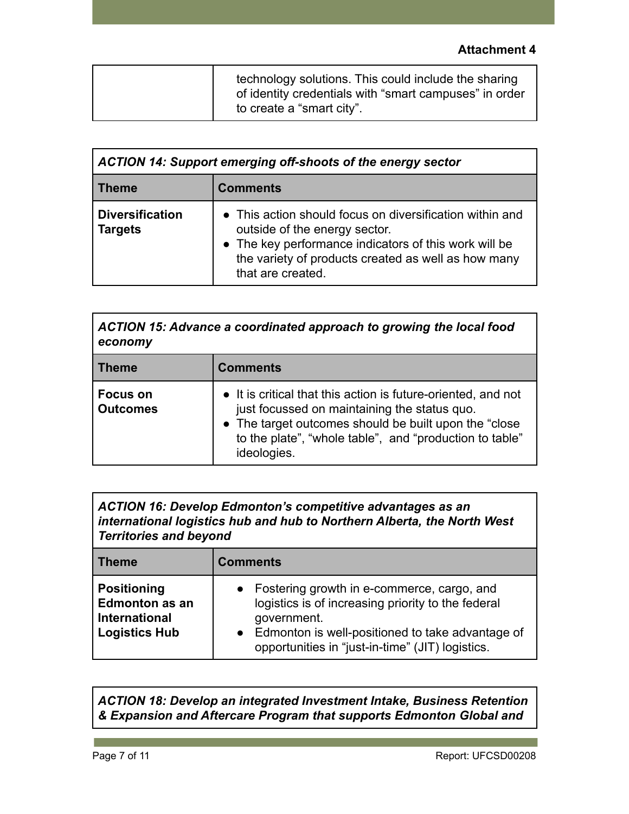| technology solutions. This could include the sharing<br>of identity credentials with "smart campuses" in order |
|----------------------------------------------------------------------------------------------------------------|
| to create a "smart city".                                                                                      |

| ACTION 14: Support emerging off-shoots of the energy sector |                                                                                                                                                                                                                                |
|-------------------------------------------------------------|--------------------------------------------------------------------------------------------------------------------------------------------------------------------------------------------------------------------------------|
| <b>Theme</b>                                                | <b>Comments</b>                                                                                                                                                                                                                |
| <b>Diversification</b><br><b>Targets</b>                    | • This action should focus on diversification within and<br>outside of the energy sector.<br>• The key performance indicators of this work will be<br>the variety of products created as well as how many<br>that are created. |

*ACTION 15: Advance a coordinated approach to growing the local food economy*

| <b>Theme</b>                |
|-----------------------------|
| Focus on<br><b>Outcomes</b> |

*ACTION 16: Develop Edmonton's competitive advantages as an international logistics hub and hub to Northern Alberta, the North West Territories and beyond*

| ∣ Theme                                                                              | <b>Comments</b>                                                                                                                                                                                                                        |
|--------------------------------------------------------------------------------------|----------------------------------------------------------------------------------------------------------------------------------------------------------------------------------------------------------------------------------------|
| <b>Positioning</b><br><b>Edmonton as an</b><br>International<br><b>Logistics Hub</b> | Fostering growth in e-commerce, cargo, and<br>$\bullet$<br>logistics is of increasing priority to the federal<br>government.<br>• Edmonton is well-positioned to take advantage of<br>opportunities in "just-in-time" (JIT) logistics. |

*ACTION 18: Develop an integrated Investment Intake, Business Retention & Expansion and Aftercare Program that supports Edmonton Global and*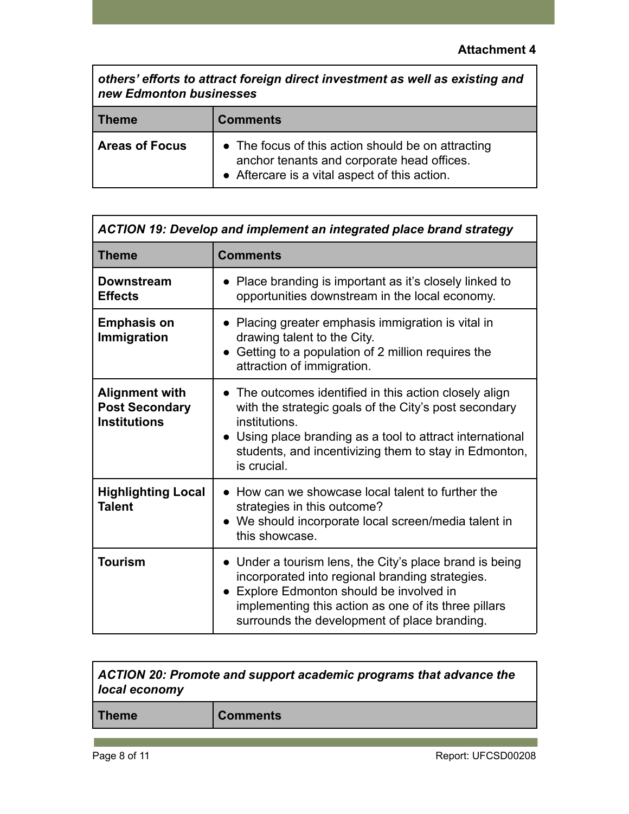*others' efforts to attract foreign direct investment as well as existing and new Edmonton businesses*

| <b>Theme</b>          | <b>Comments</b>                                                                                                                                   |
|-----------------------|---------------------------------------------------------------------------------------------------------------------------------------------------|
| <b>Areas of Focus</b> | • The focus of this action should be on attracting<br>anchor tenants and corporate head offices.<br>• Aftercare is a vital aspect of this action. |

| <b>ACTION 19: Develop and implement an integrated place brand strategy</b> |                                                                                                                                                                                                                                                                       |
|----------------------------------------------------------------------------|-----------------------------------------------------------------------------------------------------------------------------------------------------------------------------------------------------------------------------------------------------------------------|
| <b>Theme</b>                                                               | <b>Comments</b>                                                                                                                                                                                                                                                       |
| <b>Downstream</b><br><b>Effects</b>                                        | • Place branding is important as it's closely linked to<br>opportunities downstream in the local economy.                                                                                                                                                             |
| <b>Emphasis on</b><br>Immigration                                          | Placing greater emphasis immigration is vital in<br>drawing talent to the City.<br>• Getting to a population of 2 million requires the<br>attraction of immigration.                                                                                                  |
| <b>Alignment with</b><br><b>Post Secondary</b><br><b>Institutions</b>      | • The outcomes identified in this action closely align<br>with the strategic goals of the City's post secondary<br>institutions.<br>• Using place branding as a tool to attract international<br>students, and incentivizing them to stay in Edmonton,<br>is crucial. |
| <b>Highlighting Local</b><br><b>Talent</b>                                 | • How can we showcase local talent to further the<br>strategies in this outcome?<br>We should incorporate local screen/media talent in<br>$\bullet$<br>this showcase.                                                                                                 |
| <b>Tourism</b>                                                             | • Under a tourism lens, the City's place brand is being<br>incorporated into regional branding strategies.<br>• Explore Edmonton should be involved in<br>implementing this action as one of its three pillars<br>surrounds the development of place branding.        |

| ACTION 20: Promote and support academic programs that advance the<br>local economy |                 |
|------------------------------------------------------------------------------------|-----------------|
| <b>Theme</b>                                                                       | <b>Comments</b> |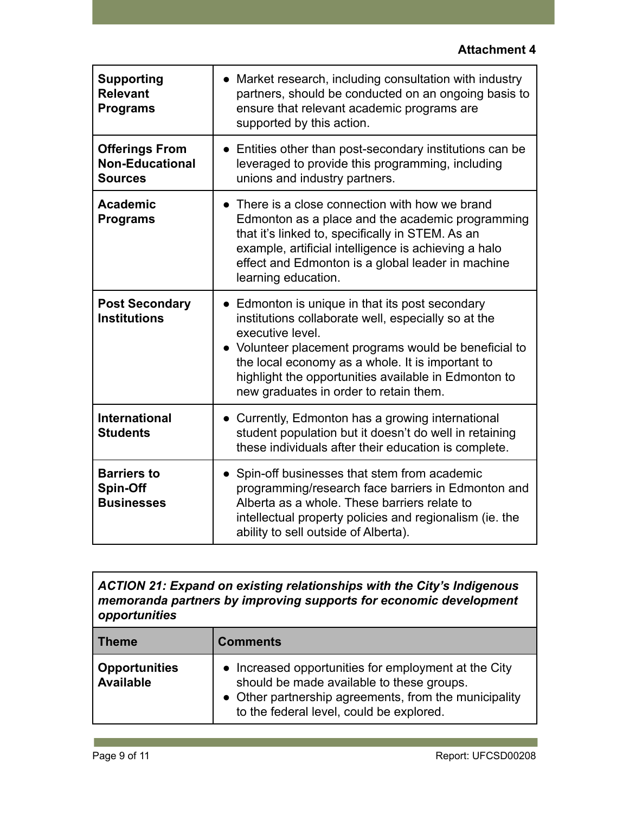| <b>Supporting</b><br><b>Relevant</b><br><b>Programs</b>           | Market research, including consultation with industry<br>$\bullet$<br>partners, should be conducted on an ongoing basis to<br>ensure that relevant academic programs are<br>supported by this action.                                                                                                                                     |
|-------------------------------------------------------------------|-------------------------------------------------------------------------------------------------------------------------------------------------------------------------------------------------------------------------------------------------------------------------------------------------------------------------------------------|
| <b>Offerings From</b><br><b>Non-Educational</b><br><b>Sources</b> | • Entities other than post-secondary institutions can be<br>leveraged to provide this programming, including<br>unions and industry partners.                                                                                                                                                                                             |
| <b>Academic</b><br><b>Programs</b>                                | • There is a close connection with how we brand<br>Edmonton as a place and the academic programming<br>that it's linked to, specifically in STEM. As an<br>example, artificial intelligence is achieving a halo<br>effect and Edmonton is a global leader in machine<br>learning education.                                               |
| <b>Post Secondary</b><br><b>Institutions</b>                      | • Edmonton is unique in that its post secondary<br>institutions collaborate well, especially so at the<br>executive level.<br>• Volunteer placement programs would be beneficial to<br>the local economy as a whole. It is important to<br>highlight the opportunities available in Edmonton to<br>new graduates in order to retain them. |
| <b>International</b><br><b>Students</b>                           | Currently, Edmonton has a growing international<br>$\bullet$<br>student population but it doesn't do well in retaining<br>these individuals after their education is complete.                                                                                                                                                            |
| <b>Barriers to</b><br>Spin-Off<br><b>Businesses</b>               | • Spin-off businesses that stem from academic<br>programming/research face barriers in Edmonton and<br>Alberta as a whole. These barriers relate to<br>intellectual property policies and regionalism (ie. the<br>ability to sell outside of Alberta).                                                                                    |

*ACTION 21: Expand on existing relationships with the City's Indigenous memoranda partners by improving supports for economic development opportunities*

| ∣ Theme                           | <b>Comments</b>                                                                                                                                                                                        |
|-----------------------------------|--------------------------------------------------------------------------------------------------------------------------------------------------------------------------------------------------------|
| <b>Opportunities</b><br>Available | • Increased opportunities for employment at the City<br>should be made available to these groups.<br>• Other partnership agreements, from the municipality<br>to the federal level, could be explored. |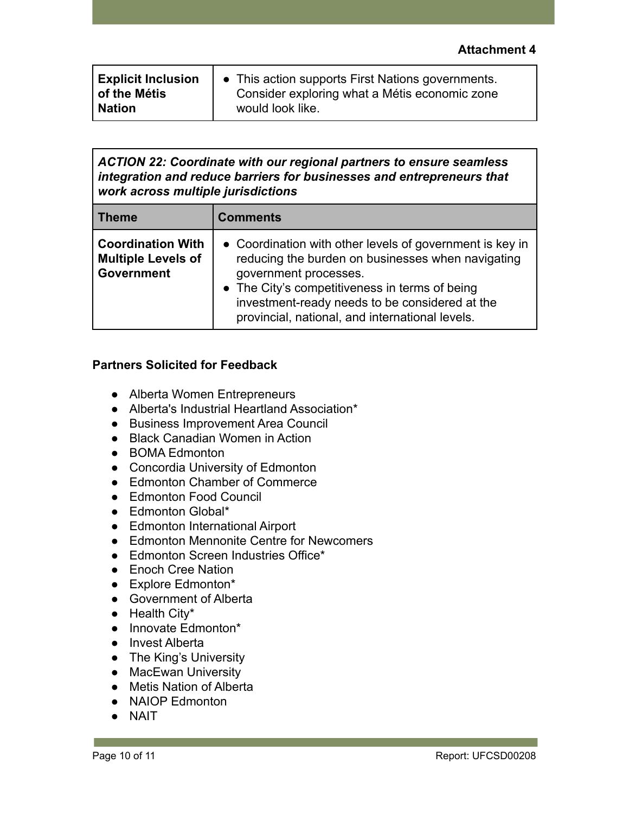| <b>Explicit Inclusion</b> | • This action supports First Nations governments. |
|---------------------------|---------------------------------------------------|
| l of the Métis            | Consider exploring what a Métis economic zone     |
| <b>Nation</b>             | would look like.                                  |

*ACTION 22: Coordinate with our regional partners to ensure seamless integration and reduce barriers for businesses and entrepreneurs that work across multiple jurisdictions*

| Theme                                                                      | <b>Comments</b>                                                                                                                                                                                                                                                                               |
|----------------------------------------------------------------------------|-----------------------------------------------------------------------------------------------------------------------------------------------------------------------------------------------------------------------------------------------------------------------------------------------|
| <b>Coordination With</b><br><b>Multiple Levels of</b><br><b>Government</b> | • Coordination with other levels of government is key in<br>reducing the burden on businesses when navigating<br>government processes.<br>• The City's competitiveness in terms of being<br>investment-ready needs to be considered at the<br>provincial, national, and international levels. |

### **Partners Solicited for Feedback**

- Alberta Women Entrepreneurs
- Alberta's Industrial Heartland Association\*
- Business Improvement Area Council
- Black Canadian Women in Action
- BOMA Edmonton
- Concordia University of Edmonton
- Edmonton Chamber of Commerce
- Edmonton Food Council
- Edmonton Global\*
- Edmonton International Airport
- Edmonton Mennonite Centre for Newcomers
- Edmonton Screen Industries Office\*
- Enoch Cree Nation
- Explore Edmonton\*
- Government of Alberta
- Health City\*
- Innovate Edmonton\*
- Invest Alberta
- The King's University
- MacEwan University
- Metis Nation of Alberta
- NAIOP Edmonton
- NAIT